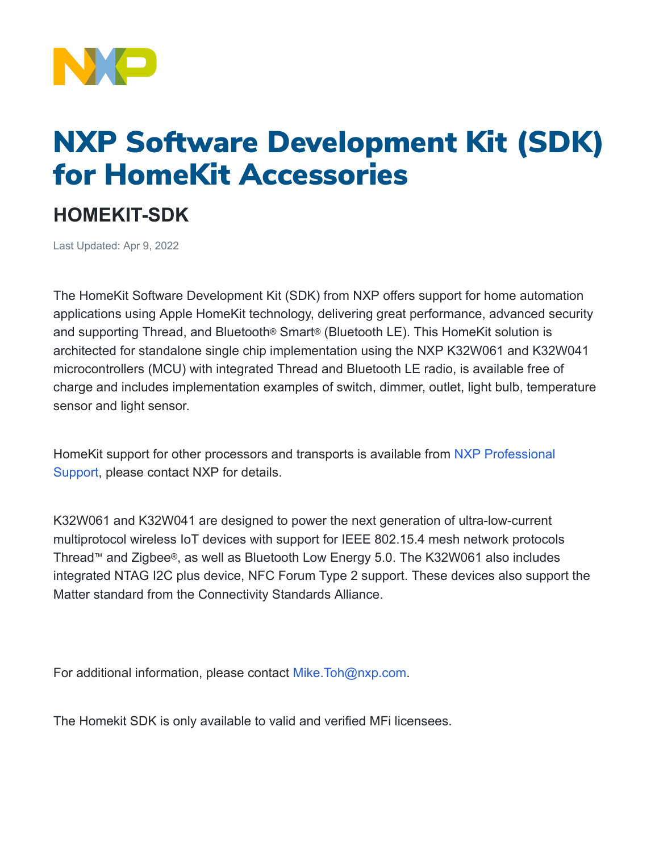

## NXP Software Development Kit (SDK) for HomeKit Accessories

## **HOMEKIT-SDK**

Last Updated: Apr 9, 2022

The HomeKit Software Development Kit (SDK) from NXP offers support for home automation applications using Apple HomeKit technology, delivering great performance, advanced security and supporting Thread, and Bluetooth® Smart® (Bluetooth LE). This HomeKit solution is architected for standalone single chip implementation using the NXP K32W061 and K32W041 microcontrollers (MCU) with integrated Thread and Bluetooth LE radio, is available free of charge and includes implementation examples of switch, dimmer, outlet, light bulb, temperature sensor and light sensor.

HomeKit support for other processors and transports is available from [NXP Professional](https://www.nxp.com/support/support/nxp-engineering-services/professional-support-for-processors-and-microcontrollers:PREMIUM-SUPPORT?tab=Buy_Parametric_Tab) [Support,](https://www.nxp.com/support/support/nxp-engineering-services/professional-support-for-processors-and-microcontrollers:PREMIUM-SUPPORT?tab=Buy_Parametric_Tab) please contact NXP for details.

K32W061 and K32W041 are designed to power the next generation of ultra-low-current multiprotocol wireless IoT devices with support for IEEE 802.15.4 mesh network protocols Thread™ and Zigbee®, as well as Bluetooth Low Energy 5.0. The K32W061 also includes integrated NTAG I2C plus device, NFC Forum Type 2 support. These devices also support the Matter standard from the Connectivity Standards Alliance.

For additional information, please contact [Mike.Toh@nxp.com.](mailto:Mike.Toh@nxp.com)

The Homekit SDK is only available to valid and verified MFi licensees.